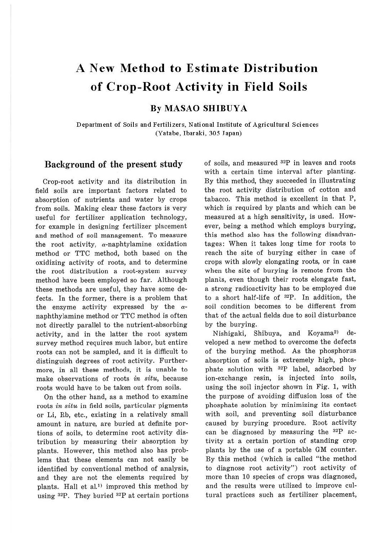# **A New Method to Estimate Distribution of Crop-Root Activity in Field Soils**

### **By MASAO SHIBUYA**

Department of Soils and Fertilizers, National Institute of Agricultural Sciences (Yatabe, Ibaraki, 305 Japan)

### **Background of the present study**

Crop-root activity and its distribution in field soils are important factors related to absorption of nutrients and water by crops from soils. Making clear these factors is very useful for fertilizer application technology, for example in designing fertilizer placement and method of soil management. To measure the root activity,  $\alpha$ -naphtylamine oxidation method or TTC method, both based on the oxidizing activity of roots, and to determine the root distribution a root-system survey method have been employed so far. Although these methods are useful, they have some defects. In the former, there is a problem that the enzyme activity expressed by the  $\alpha$ naphthylamine method or TTC method is often not directly parallel to the nutrient-absorbing activity, and in the latter the root system survey method requires much labor, but entire roots can not be sampled, and it is difficult to distinguish degrees of root activity. Furthermore, in all these methods, it is unable to make observations of roots *in situ,* because roots would have to be taken out from soils.

On the other hand, as a method to examine roots *in situ* in field soils, particular pigments or Li, Rb, etc., existing in a relatively small amount in nature, are buried at definite portions of soils, to determine root activity distribution by measuring their absorption by plants. However, this method also has problems that these elements can not easily be identified by conventional method of analysis, and they are not the elements required by plants. Hall et al.<sup>1)</sup> improved this method by using  $^{32}P$ . They buried  $^{32}P$  at certain portions of soils, and measured <sup>32</sup>P in leaves and roots with a certain time interval after planting. By this method, they succeeded in illustrating the root activity distribution of cotton and tabacco. This method is excellent in that P, which is required by plants and which can be measured at a high sensitivity, is used. However, being a method which employs burying, this method also has the following disadvantages: When it takes long time for roots to reach the site of burying either in case of crops with slowly elongating roots, or in case when the site of burying is remote from the plants, even though their roots elongate fast, a strong radioactivity has to be employed due to a short half-life of  $32P$ . In addition, the soil condition becomes to be different from that of the actual fields due to soil disturbance by the burying.

Nishigaki, Shibuya, and Koyama<sup>2)</sup> developed a new method to overcome the defects of the burying method. As the phosphorus absorption of soils is extremely high, phosphate solution with <sup>32</sup>P label, adsorbed by ion-exchange resin, is injected into soils, using the soil injector shown in Fig. 1, with the purpose of avoiding diffusion loss of the phosphate solution by minimizing its contact with soil, and preventing soil disturbance caused by burying procedure. Root activity can be diagnosed by measuring the  $^{32}P$  activity at a certain portion of standing crop plants by the use of a portable GM counter. By this method (which is called "the method to diagnose root activity") root activity of more than 10 species of crops was diagnosed, and the results were utilized to improve cultural practices such as fertilizer placement,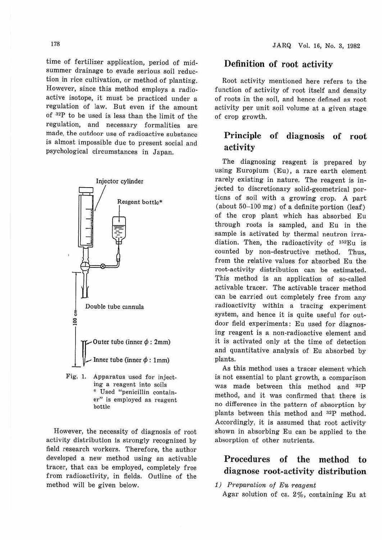time of fertilizer application, period of midsummer drainage to evade serious soil reduction in rice cultivation, or method of planting. However, since this method employs a radioactive isotope, it must be practiced under a regulation of law. But even if the amount of <sup>32</sup>P to be used is less than the limit of the regulation, and necessary formalities are made, the outdoor use of radioactive substance is almost impossible due to present social and psychological circumstances in Japan.



Fig. 1. Apparatus used for injecting a reagent into soils \* Used "penicillin container" is employed as reagent bottle

However, the necessity of diagnosis of root activity distribution is strongly recognized by field research workers. Therefore, the author developed a new method using an activable tracer, that can be employed, completely free from radioactivity, in fields. Outline of the method will be given below.

### **Definition of root activity**

Root activity mentioned here refers to the function of activity of root itself and density of roots in the soil, and hence defined as root activity per unit soil volume at a given stage of crop growth.

## **Principle of diagnosis of root activity**

The diagnosing reagent is prepared by using Europium (Eu), a rare earth element rarely existing in nature. The reagent is injected to discretionary solid-geometrical portions of soil with a growing crop. A part (about  $50-100$  mg) of a definite portion (leaf) of the crop plant which has absorbed Eu through roots is sampled, and Eu in the sample is activated by thermal neutron irradiation. Then, the radioactivity of  $152 \text{Eu}$  is counted by non-destructive method. Thus, from the relative values for absorbed Eu the root-activity distribution can be estimated. This method is an application of so-called activable tracer. The activable tracer method can be carried out completely free from any radioactivity within a tracing experiment system, and hence it is quite useful for outdoor field experiments: Eu used for diagnosing reagent is a non-radioactive element and it is activated only at the time of detection and quantitative analysis of Eu absorbed by plants.

As this method uses a tracer element which is not essential to plant growth, a comparison was made between this method and <sup>32</sup>P method, and it was confirmed that there is no difference in the pattern of absorption by plants between this method and <sup>32</sup>P method. Accordingly, it is assumed that root activity shown in absorbing Eu can be applied to the absorption of other nutrients.

# **Procedures of the method to diagnose root-activity distribution**

1) Prepamtion of Eu reagent

Agar solution of ca. 2%, containing Eu at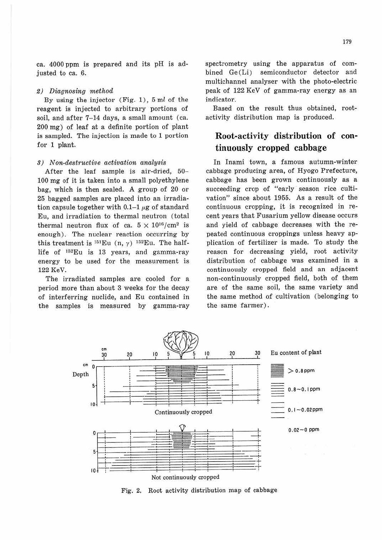ca. 4000 ppm is prepared and its pH is adjusted to ca. 6.

#### 2) Diagnosing method

By using the injector  $(Fig. 1)$ , 5 ml of the reagent is injected to arbitrary portions of soil, and after 7-14 days, a small amount (ca. 200 mg) of leaf at a definite portion of plant is sampled. The injection is made to 1 portion for 1 plant.

#### 3) Non-destructive activation analysis

After the leaf sample is air-dried, 50- 100 mg of it is taken into a small polyethylene bag, which is then sealed. A group of 20 or 25 bagged samples are placed into an irradiation capsule together with  $0.1-1 \mu$ g of standard Eu, and irradiation to thermal neutron (total thermal neutron flux of ca.  $5 \times 10^{16}$ /cm<sup>2</sup> is enough). The nuclear reaction occurring by this treatment is  $^{151}$ Eu (n, y)  $^{152}$ Eu. The halflife of  $152 \text{Eu}$  is 13 years, and gamma-ray energy to be used for the measurement is 122 KeV.

The irradiated samples are cooled for a period more than about 3 weeks for the decay of interferring nuclide, and Eu contained in the samples is measured by gamma-ray spectrometry using the apparatus of combined Ge (Li) semiconductor detector and multichannel analyser with the photo-electric peak of 122 KeV of gamma-ray energy as an indicator.

Based on the result thus obtained, rootactivity distribution map is produced.

# **Root-activity distribution of continuously cropped cabbage**

In Inami town, a famous autumn-winter cabbage producing area, of Hyogo Prefecture, cabbage has been grown continuously as a succeeding crop of "early season rice cultivation" since about 1955. As a result of the continuous cropping, it is recognized in recent years that Fusarium yellow disease occurs and yield of cabbage decreases with the repeated continuous croppings unless heavy application of fertilizer is made. To study the reason for decreasing yield, root activity distribution of cabbage was examined in a continuously cropped field and an adjacent non-continuously cropped field, both of them are of the same soil, the same variety and the same method of cultivation (belonging to the same farmer) .



Fig. 2. Root activity distribution map of cabbage